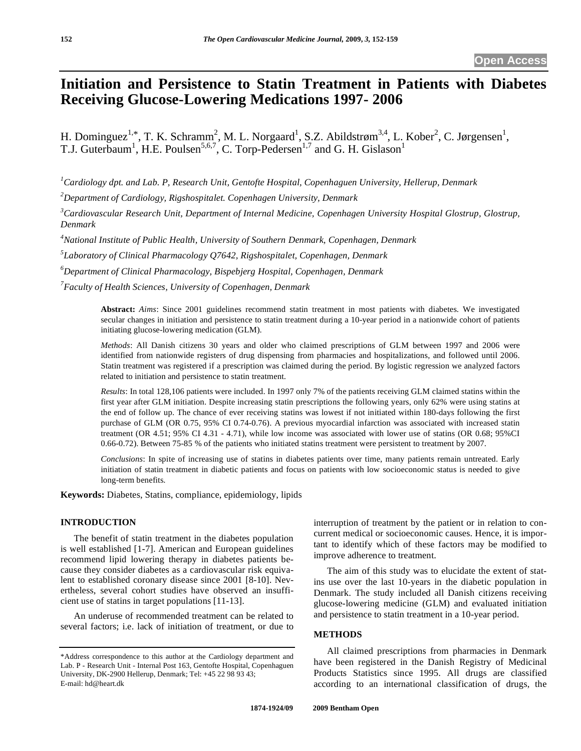# **Initiation and Persistence to Statin Treatment in Patients with Diabetes Receiving Glucose-Lowering Medications 1997- 2006**

H. Dominguez<sup>1,\*</sup>, T. K. Schramm<sup>2</sup>, M. L. Norgaard<sup>1</sup>, S.Z. Abildstrøm<sup>3,4</sup>, L. Kober<sup>2</sup>, C. Jørgensen<sup>1</sup>, T.J. Guterbaum<sup>1</sup>, H.E. Poulsen<sup>5,6,7</sup>, C. Torp-Pedersen<sup>1,7</sup> and G. H. Gislason<sup>1</sup>

*1 Cardiology dpt. and Lab. P, Research Unit, Gentofte Hospital, Copenhaguen University, Hellerup, Denmark* 

*2 Department of Cardiology, Rigshospitalet. Copenhagen University, Denmark* 

<sup>3</sup>Cardiovascular Research Unit, Department of Internal Medicine, Copenhagen University Hospital Glostrup, Glostrup, *Denmark* 

*4 National Institute of Public Health, University of Southern Denmark, Copenhagen, Denmark* 

*5 Laboratory of Clinical Pharmacology Q7642, Rigshospitalet, Copenhagen, Denmark* 

*6 Department of Clinical Pharmacology, Bispebjerg Hospital, Copenhagen, Denmark* 

*7 Faculty of Health Sciences, University of Copenhagen, Denmark* 

**Abstract:** *Aims*: Since 2001 guidelines recommend statin treatment in most patients with diabetes. We investigated secular changes in initiation and persistence to statin treatment during a 10-year period in a nationwide cohort of patients initiating glucose-lowering medication (GLM).

*Methods*: All Danish citizens 30 years and older who claimed prescriptions of GLM between 1997 and 2006 were identified from nationwide registers of drug dispensing from pharmacies and hospitalizations, and followed until 2006. Statin treatment was registered if a prescription was claimed during the period. By logistic regression we analyzed factors related to initiation and persistence to statin treatment.

*Results*: In total 128,106 patients were included. In 1997 only 7% of the patients receiving GLM claimed statins within the first year after GLM initiation. Despite increasing statin prescriptions the following years, only 62% were using statins at the end of follow up. The chance of ever receiving statins was lowest if not initiated within 180-days following the first purchase of GLM (OR 0.75, 95% CI 0.74-0.76). A previous myocardial infarction was associated with increased statin treatment (OR 4.51; 95% CI 4.31 - 4.71), while low income was associated with lower use of statins (OR 0.68; 95%CI 0.66-0.72). Between 75-85 % of the patients who initiated statins treatment were persistent to treatment by 2007.

*Conclusions*: In spite of increasing use of statins in diabetes patients over time, many patients remain untreated. Early initiation of statin treatment in diabetic patients and focus on patients with low socioeconomic status is needed to give long-term benefits.

**Keywords:** Diabetes, Statins, compliance, epidemiology, lipids

# **INTRODUCTION**

 The benefit of statin treatment in the diabetes population is well established [1-7]. American and European guidelines recommend lipid lowering therapy in diabetes patients because they consider diabetes as a cardiovascular risk equivalent to established coronary disease since 2001 [8-10]. Nevertheless, several cohort studies have observed an insufficient use of statins in target populations [11-13].

 An underuse of recommended treatment can be related to several factors; i.e. lack of initiation of treatment, or due to interruption of treatment by the patient or in relation to concurrent medical or socioeconomic causes. Hence, it is important to identify which of these factors may be modified to improve adherence to treatment.

 The aim of this study was to elucidate the extent of statins use over the last 10-years in the diabetic population in Denmark. The study included all Danish citizens receiving glucose-lowering medicine (GLM) and evaluated initiation and persistence to statin treatment in a 10-year period.

#### **METHODS**

 All claimed prescriptions from pharmacies in Denmark have been registered in the Danish Registry of Medicinal Products Statistics since 1995. All drugs are classified according to an international classification of drugs, the

<sup>\*</sup>Address correspondence to this author at the Cardiology department and Lab. P - Research Unit - Internal Post 163, Gentofte Hospital, Copenhaguen University, DK-2900 Hellerup, Denmark; Tel: +45 22 98 93 43; E-mail: hd@heart.dk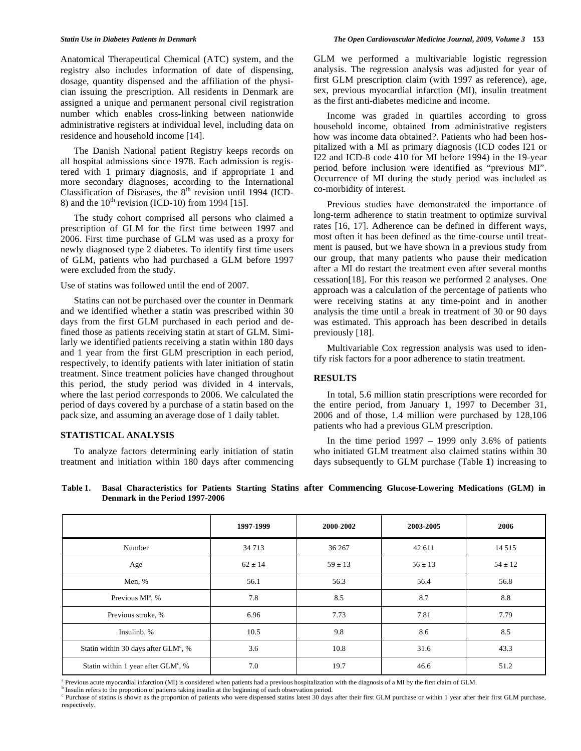Anatomical Therapeutical Chemical (ATC) system, and the registry also includes information of date of dispensing, dosage, quantity dispensed and the affiliation of the physician issuing the prescription. All residents in Denmark are assigned a unique and permanent personal civil registration number which enables cross-linking between nationwide administrative registers at individual level, including data on residence and household income [14].

 The Danish National patient Registry keeps records on all hospital admissions since 1978. Each admission is registered with 1 primary diagnosis, and if appropriate 1 and more secondary diagnoses, according to the International Classification of Diseases, the  $8<sup>th</sup>$  revision until 1994 (ICD-8) and the  $10^{th}$  revision (ICD-10) from 1994 [15].

 The study cohort comprised all persons who claimed a prescription of GLM for the first time between 1997 and 2006. First time purchase of GLM was used as a proxy for newly diagnosed type 2 diabetes. To identify first time users of GLM, patients who had purchased a GLM before 1997 were excluded from the study.

#### Use of statins was followed until the end of 2007.

 Statins can not be purchased over the counter in Denmark and we identified whether a statin was prescribed within 30 days from the first GLM purchased in each period and defined those as patients receiving statin at start of GLM. Similarly we identified patients receiving a statin within 180 days and 1 year from the first GLM prescription in each period, respectively, to identify patients with later initiation of statin treatment. Since treatment policies have changed throughout this period, the study period was divided in 4 intervals, where the last period corresponds to 2006. We calculated the period of days covered by a purchase of a statin based on the pack size, and assuming an average dose of 1 daily tablet.

## **STATISTICAL ANALYSIS**

 To analyze factors determining early initiation of statin treatment and initiation within 180 days after commencing GLM we performed a multivariable logistic regression analysis. The regression analysis was adjusted for year of first GLM prescription claim (with 1997 as reference), age, sex, previous myocardial infarction (MI), insulin treatment as the first anti-diabetes medicine and income.

 Income was graded in quartiles according to gross household income, obtained from administrative registers how was income data obtained?. Patients who had been hospitalized with a MI as primary diagnosis (ICD codes I21 or I22 and ICD-8 code 410 for MI before 1994) in the 19-year period before inclusion were identified as "previous MI". Occurrence of MI during the study period was included as co-morbidity of interest.

 Previous studies have demonstrated the importance of long-term adherence to statin treatment to optimize survival rates [16, 17]. Adherence can be defined in different ways, most often it has been defined as the time-course until treatment is paused, but we have shown in a previous study from our group, that many patients who pause their medication after a MI do restart the treatment even after several months cessation[18]. For this reason we performed 2 analyses. One approach was a calculation of the percentage of patients who were receiving statins at any time-point and in another analysis the time until a break in treatment of 30 or 90 days was estimated. This approach has been described in details previously [18].

 Multivariable Cox regression analysis was used to identify risk factors for a poor adherence to statin treatment.

## **RESULTS**

 In total, 5.6 million statin prescriptions were recorded for the entire period, from January 1, 1997 to December 31, 2006 and of those, 1.4 million were purchased by 128,106 patients who had a previous GLM prescription.

In the time period  $1997 - 1999$  only 3.6% of patients who initiated GLM treatment also claimed statins within 30 days subsequently to GLM purchase (Table **1**) increasing to

|                                                 | 1997-1999   | 2000-2002   | 2003-2005   | 2006        |
|-------------------------------------------------|-------------|-------------|-------------|-------------|
| Number                                          | 34 7 13     | 36 267      | 42 611      | 14 5 15     |
| Age                                             | $62 \pm 14$ | $59 \pm 13$ | $56 \pm 13$ | $54 \pm 12$ |
| Men, %                                          | 56.1        | 56.3        | 56.4        | 56.8        |
| Previous MI <sup>a</sup> , %                    | 7.8         | 8.5         | 8.7         | 8.8         |
| Previous stroke, %                              | 6.96        | 7.73        | 7.81        | 7.79        |
| Insulinb, %                                     | 10.5        | 9.8         | 8.6         | 8.5         |
| Statin within 30 days after $GLMc$ , %          | 3.6         | 10.8        | 31.6        | 43.3        |
| Statin within 1 year after GLM <sup>c</sup> , % | 7.0         | 19.7        | 46.6        | 51.2        |

**Table 1. Basal Characteristics for Patients Starting Statins after Commencing Glucose-Lowering Medications (GLM) in Denmark in the Period 1997-2006** 

<sup>a</sup> Previous acute myocardial infarction (MI) is considered when patients had a previous hospitalization with the diagnosis of a MI by the first claim of GLM.

<sup>b</sup> Insulin refers to the proportion of patients taking insulin at the beginning of each observation period.

<sup>c</sup> Purchase of statins is shown as the proportion of patients who were dispensed statins latest 30 days after their first GLM purchase or within 1 year after their first GLM purchase, respectively.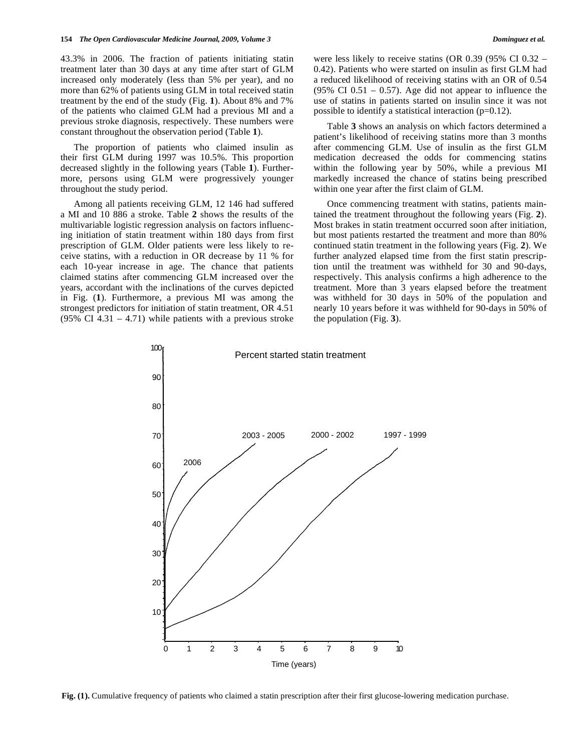43.3% in 2006. The fraction of patients initiating statin treatment later than 30 days at any time after start of GLM increased only moderately (less than 5% per year), and no more than 62% of patients using GLM in total received statin treatment by the end of the study (Fig. **1**). About 8% and 7% of the patients who claimed GLM had a previous MI and a previous stroke diagnosis, respectively. These numbers were constant throughout the observation period (Table **1**).

 The proportion of patients who claimed insulin as their first GLM during 1997 was 10.5%. This proportion decreased slightly in the following years (Table **1**). Furthermore, persons using GLM were progressively younger throughout the study period.

 Among all patients receiving GLM, 12 146 had suffered a MI and 10 886 a stroke. Table **2** shows the results of the multivariable logistic regression analysis on factors influencing initiation of statin treatment within 180 days from first prescription of GLM. Older patients were less likely to receive statins, with a reduction in OR decrease by 11 % for each 10-year increase in age. The chance that patients claimed statins after commencing GLM increased over the years, accordant with the inclinations of the curves depicted in Fig. (**1**). Furthermore, a previous MI was among the strongest predictors for initiation of statin treatment, OR 4.51 (95% CI 4.31 – 4.71) while patients with a previous stroke

 Table **3** shows an analysis on which factors determined a patient's likelihood of receiving statins more than 3 months after commencing GLM. Use of insulin as the first GLM medication decreased the odds for commencing statins within the following year by 50%, while a previous MI markedly increased the chance of statins being prescribed within one year after the first claim of GLM.

 Once commencing treatment with statins, patients maintained the treatment throughout the following years (Fig. **2**). Most brakes in statin treatment occurred soon after initiation, but most patients restarted the treatment and more than 80% continued statin treatment in the following years (Fig. **2**). We further analyzed elapsed time from the first statin prescription until the treatment was withheld for 30 and 90-days, respectively. This analysis confirms a high adherence to the treatment. More than 3 years elapsed before the treatment was withheld for 30 days in 50% of the population and nearly 10 years before it was withheld for 90-days in 50% of the population (Fig. **3**).



**Fig. (1).** Cumulative frequency of patients who claimed a statin prescription after their first glucose-lowering medication purchase.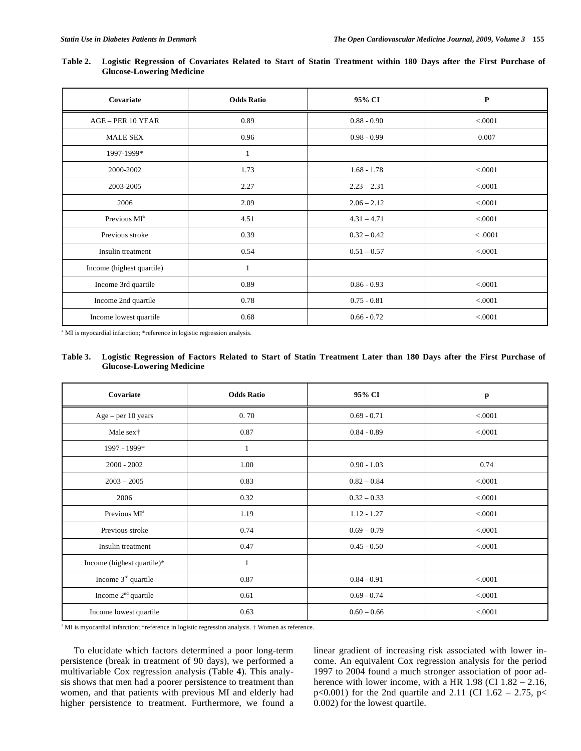| Covariate                 | <b>Odds Ratio</b> | 95% CI        | ${\bf P}$ |
|---------------------------|-------------------|---------------|-----------|
| AGE - PER 10 YEAR         | 0.89              | $0.88 - 0.90$ | < 0001    |
| <b>MALE SEX</b>           | 0.96              | $0.98 - 0.99$ | 0.007     |
| 1997-1999*                | 1                 |               |           |
| 2000-2002                 | 1.73              | $1.68 - 1.78$ | < 0001    |
| 2003-2005                 | 2.27              | $2.23 - 2.31$ | < 0001    |
| 2006                      | 2.09              | $2.06 - 2.12$ | < 0001    |
| Previous MI <sup>a</sup>  | 4.51              | $4.31 - 4.71$ | < 0001    |
| Previous stroke           | 0.39              | $0.32 - 0.42$ | < .0001   |
| Insulin treatment         | 0.54              | $0.51 - 0.57$ | < 0001    |
| Income (highest quartile) | $\mathbf{1}$      |               |           |
| Income 3rd quartile       | 0.89              | $0.86 - 0.93$ | < 0001    |
| Income 2nd quartile       | 0.78              | $0.75 - 0.81$ | < 0001    |
| Income lowest quartile    | 0.68              | $0.66 - 0.72$ | < 0001    |

**Table 2. Logistic Regression of Covariates Related to Start of Statin Treatment within 180 Days after the First Purchase of Glucose-Lowering Medicine** 

<sup>a</sup> MI is myocardial infarction; \*reference in logistic regression analysis.

#### **Table 3. Logistic Regression of Factors Related to Start of Statin Treatment Later than 180 Days after the First Purchase of Glucose-Lowering Medicine**

| Covariate                  | <b>Odds Ratio</b> | 95% CI        | p       |
|----------------------------|-------------------|---------------|---------|
| $Age - per 10 years$       | 0.70              | $0.69 - 0.71$ | < 0001  |
| Male sex†                  | 0.87              | $0.84 - 0.89$ | < 0001  |
| 1997 - 1999*               | $\mathbf{1}$      |               |         |
| $2000 - 2002$              | 1.00              | $0.90 - 1.03$ | 0.74    |
| $2003 - 2005$              | 0.83              | $0.82 - 0.84$ | < 0001  |
| 2006                       | 0.32              | $0.32 - 0.33$ | < 0001  |
| Previous MI <sup>a</sup>   | 1.19              | $1.12 - 1.27$ | < 0001  |
| Previous stroke            | 0.74              | $0.69 - 0.79$ | < .0001 |
| Insulin treatment          | 0.47              | $0.45 - 0.50$ | < 0001  |
| Income (highest quartile)* | 1                 |               |         |
| Income $3rd$ quartile      | 0.87              | $0.84 - 0.91$ | < .0001 |
| Income $2nd$ quartile      | 0.61              | $0.69 - 0.74$ | < .0001 |
| Income lowest quartile     | 0.63              | $0.60 - 0.66$ | < 0001  |

<sup>a</sup>MI is myocardial infarction; \*reference in logistic regression analysis. † Women as reference.

 To elucidate which factors determined a poor long-term persistence (break in treatment of 90 days), we performed a multivariable Cox regression analysis (Table **4**). This analysis shows that men had a poorer persistence to treatment than women, and that patients with previous MI and elderly had higher persistence to treatment. Furthermore, we found a linear gradient of increasing risk associated with lower income. An equivalent Cox regression analysis for the period 1997 to 2004 found a much stronger association of poor adherence with lower income, with a HR 1.98 (CI 1.82 – 2.16, p<0.001) for the 2nd quartile and 2.11 (CI 1.62 – 2.75, p< 0.002) for the lowest quartile.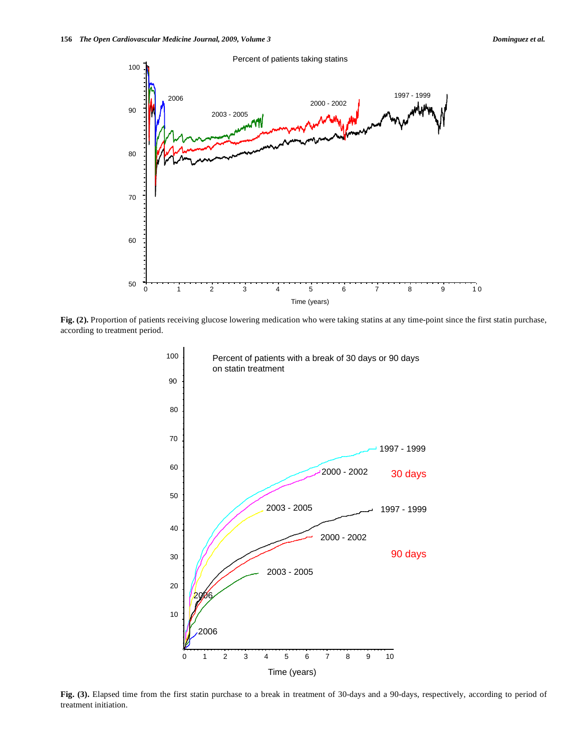

**Fig. (2).** Proportion of patients receiving glucose lowering medication who were taking statins at any time-point since the first statin purchase, according to treatment period.



Fig. (3). Elapsed time from the first statin purchase to a break in treatment of 30-days and a 90-days, respectively, according to period of treatment initiation.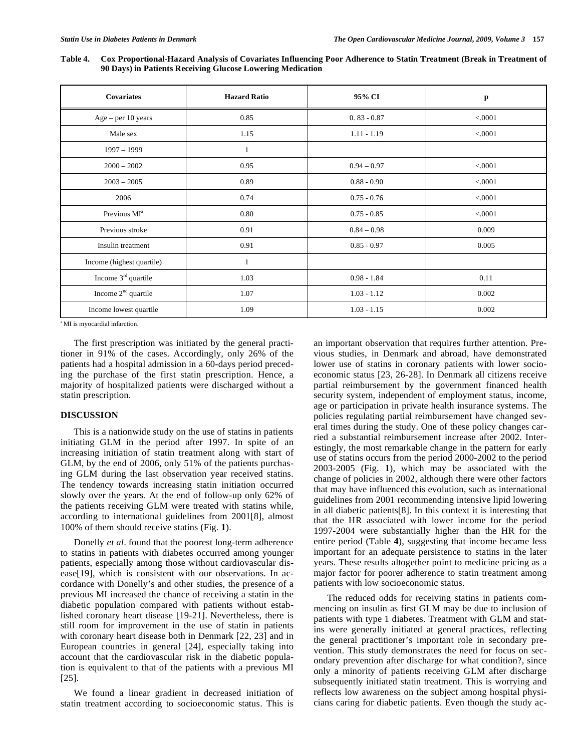| Table 4. | Cox Proportional-Hazard Analysis of Covariates Influencing Poor Adherence to Statin Treatment (Break in Treatment of |
|----------|----------------------------------------------------------------------------------------------------------------------|
|          | 90 Days) in Patients Receiving Glucose Lowering Medication                                                           |
|          |                                                                                                                      |

| <b>Covariates</b>               | <b>Hazard Ratio</b> | 95% CI        | p       |
|---------------------------------|---------------------|---------------|---------|
| Age - per 10 years              | 0.85                | $0.83 - 0.87$ | < 0.001 |
| Male sex                        | 1.15                | $1.11 - 1.19$ | < 0001  |
| $1997 - 1999$                   | $\mathbf{1}$        |               |         |
| $2000 - 2002$                   | 0.95                | $0.94 - 0.97$ | < 0.001 |
| $2003 - 2005$                   | 0.89                | $0.88 - 0.90$ | < 0001  |
| 2006                            | 0.74                | $0.75 - 0.76$ | < 0001  |
| Previous MI <sup>a</sup>        | 0.80                | $0.75 - 0.85$ | < 0001  |
| Previous stroke                 | 0.91                | $0.84 - 0.98$ | 0.009   |
| Insulin treatment               | 0.91                | $0.85 - 0.97$ | 0.005   |
| Income (highest quartile)       | $\mathbf{1}$        |               |         |
| Income 3 <sup>rd</sup> quartile | 1.03                | $0.98 - 1.84$ | 0.11    |
| Income $2nd$ quartile           | 1.07                | $1.03 - 1.12$ | 0.002   |
| Income lowest quartile          | 1.09                | $1.03 - 1.15$ | 0.002   |

<sup>a</sup> MI is myocardial infarction.

 The first prescription was initiated by the general practitioner in 91% of the cases. Accordingly, only 26% of the patients had a hospital admission in a 60-days period preceding the purchase of the first statin prescription. Hence, a majority of hospitalized patients were discharged without a statin prescription.

### **DISCUSSION**

 This is a nationwide study on the use of statins in patients initiating GLM in the period after 1997. In spite of an increasing initiation of statin treatment along with start of GLM, by the end of 2006, only 51% of the patients purchasing GLM during the last observation year received statins. The tendency towards increasing statin initiation occurred slowly over the years. At the end of follow-up only 62% of the patients receiving GLM were treated with statins while, according to international guidelines from 2001[8], almost 100% of them should receive statins (Fig. **1**).

 Donelly *et al*. found that the poorest long-term adherence to statins in patients with diabetes occurred among younger patients, especially among those without cardiovascular disease[19], which is consistent with our observations. In accordance with Donelly's and other studies, the presence of a previous MI increased the chance of receiving a statin in the diabetic population compared with patients without established coronary heart disease [19-21]. Nevertheless, there is still room for improvement in the use of statin in patients with coronary heart disease both in Denmark [22, 23] and in European countries in general [24], especially taking into account that the cardiovascular risk in the diabetic population is equivalent to that of the patients with a previous MI [25].

 We found a linear gradient in decreased initiation of statin treatment according to socioeconomic status. This is an important observation that requires further attention. Previous studies, in Denmark and abroad, have demonstrated lower use of statins in coronary patients with lower socioeconomic status [23, 26-28]. In Denmark all citizens receive partial reimbursement by the government financed health security system, independent of employment status, income, age or participation in private health insurance systems. The policies regulating partial reimbursement have changed several times during the study. One of these policy changes carried a substantial reimbursement increase after 2002. Interestingly, the most remarkable change in the pattern for early use of statins occurs from the period 2000-2002 to the period 2003-2005 (Fig. **1**), which may be associated with the change of policies in 2002, although there were other factors that may have influenced this evolution, such as international guidelines from 2001 recommending intensive lipid lowering in all diabetic patients[8]. In this context it is interesting that that the HR associated with lower income for the period 1997-2004 were substantially higher than the HR for the entire period (Table **4**), suggesting that income became less important for an adequate persistence to statins in the later years. These results altogether point to medicine pricing as a major factor for poorer adherence to statin treatment among patients with low socioeconomic status.

 The reduced odds for receiving statins in patients commencing on insulin as first GLM may be due to inclusion of patients with type 1 diabetes. Treatment with GLM and statins were generally initiated at general practices, reflecting the general practitioner's important role in secondary prevention. This study demonstrates the need for focus on secondary prevention after discharge for what condition?, since only a minority of patients receiving GLM after discharge subsequently initiated statin treatment. This is worrying and reflects low awareness on the subject among hospital physicians caring for diabetic patients. Even though the study ac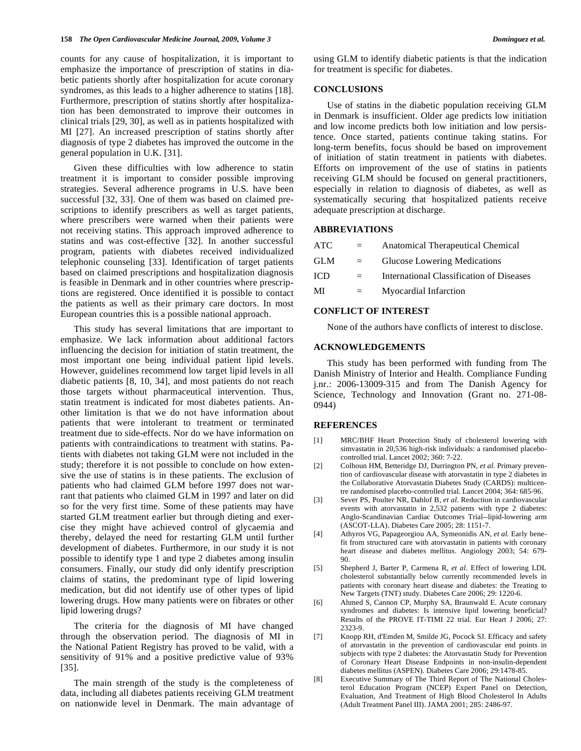counts for any cause of hospitalization, it is important to emphasize the importance of prescription of statins in diabetic patients shortly after hospitalization for acute coronary syndromes, as this leads to a higher adherence to statins [18]. Furthermore, prescription of statins shortly after hospitalization has been demonstrated to improve their outcomes in clinical trials [29, 30], as well as in patients hospitalized with MI [27]. An increased prescription of statins shortly after diagnosis of type 2 diabetes has improved the outcome in the general population in U.K. [31].

 Given these difficulties with low adherence to statin treatment it is important to consider possible improving strategies. Several adherence programs in U.S. have been successful [32, 33]. One of them was based on claimed prescriptions to identify prescribers as well as target patients, where prescribers were warned when their patients were not receiving statins. This approach improved adherence to statins and was cost-effective [32]. In another successful program, patients with diabetes received individualized telephonic counseling [33]. Identification of target patients based on claimed prescriptions and hospitalization diagnosis is feasible in Denmark and in other countries where prescriptions are registered. Once identified it is possible to contact the patients as well as their primary care doctors. In most European countries this is a possible national approach.

 This study has several limitations that are important to emphasize. We lack information about additional factors influencing the decision for initiation of statin treatment, the most important one being individual patient lipid levels. However, guidelines recommend low target lipid levels in all diabetic patients [8, 10, 34], and most patients do not reach those targets without pharmaceutical intervention. Thus, statin treatment is indicated for most diabetes patients. Another limitation is that we do not have information about patients that were intolerant to treatment or terminated treatment due to side-effects. Nor do we have information on patients with contraindications to treatment with statins. Patients with diabetes not taking GLM were not included in the study; therefore it is not possible to conclude on how extensive the use of statins is in these patients. The exclusion of patients who had claimed GLM before 1997 does not warrant that patients who claimed GLM in 1997 and later on did so for the very first time. Some of these patients may have started GLM treatment earlier but through dieting and exercise they might have achieved control of glycaemia and thereby, delayed the need for restarting GLM until further development of diabetes. Furthermore, in our study it is not possible to identify type 1 and type 2 diabetes among insulin consumers. Finally, our study did only identify prescription claims of statins, the predominant type of lipid lowering medication, but did not identify use of other types of lipid lowering drugs. How many patients were on fibrates or other lipid lowering drugs?

 The criteria for the diagnosis of MI have changed through the observation period. The diagnosis of MI in the National Patient Registry has proved to be valid, with a sensitivity of 91% and a positive predictive value of 93% [35].

 The main strength of the study is the completeness of data, including all diabetes patients receiving GLM treatment on nationwide level in Denmark. The main advantage of using GLM to identify diabetic patients is that the indication for treatment is specific for diabetes.

#### **CONCLUSIONS**

 Use of statins in the diabetic population receiving GLM in Denmark is insufficient. Older age predicts low initiation and low income predicts both low initiation and low persistence. Once started, patients continue taking statins. For long-term benefits, focus should be based on improvement of initiation of statin treatment in patients with diabetes. Efforts on improvement of the use of statins in patients receiving GLM should be focused on general practitioners, especially in relation to diagnosis of diabetes, as well as systematically securing that hospitalized patients receive adequate prescription at discharge.

# **ABBREVIATIONS**

| ATC        | $=$ | Anatomical Therapeutical Chemical               |
|------------|-----|-------------------------------------------------|
| <b>GLM</b> | $=$ | Glucose Lowering Medications                    |
| <b>ICD</b> |     | <b>International Classification of Diseases</b> |
| MI         | $=$ | Myocardial Infarction                           |

#### **CONFLICT OF INTEREST**

None of the authors have conflicts of interest to disclose.

#### **ACKNOWLEDGEMENTS**

 This study has been performed with funding from The Danish Ministry of Interior and Health. Compliance Funding j.nr.: 2006-13009-315 and from The Danish Agency for Science, Technology and Innovation (Grant no. 271-08- 0944)

#### **REFERENCES**

- [1] MRC/BHF Heart Protection Study of cholesterol lowering with simvastatin in 20,536 high-risk individuals: a randomised placebocontrolled trial. Lancet 2002; 360: 7-22.
- [2] Colhoun HM, Betteridge DJ, Durrington PN, *et al.* Primary prevention of cardiovascular disease with atorvastatin in type 2 diabetes in the Collaborative Atorvastatin Diabetes Study (CARDS): multicentre randomised placebo-controlled trial. Lancet 2004; 364: 685-96.
- [3] Sever PS, Poulter NR, Dahlof B, *et al.* Reduction in cardiovascular events with atorvastatin in 2,532 patients with type 2 diabetes: Anglo-Scandinavian Cardiac Outcomes Trial--lipid-lowering arm (ASCOT-LLA). Diabetes Care 2005; 28: 1151-7.
- [4] Athyros VG, Papageorgiou AA, Symeonidis AN, *et al.* Early benefit from structured care with atorvastatin in patients with coronary heart disease and diabetes mellitus. Angiology 2003; 54: 679- 90.
- [5] Shepherd J, Barter P, Carmena R, *et al.* Effect of lowering LDL cholesterol substantially below currently recommended levels in patients with coronary heart disease and diabetes: the Treating to New Targets (TNT) study. Diabetes Care 2006; 29: 1220-6.
- [6] Ahmed S, Cannon CP, Murphy SA, Braunwald E. Acute coronary syndromes and diabetes: Is intensive lipid lowering beneficial? Results of the PROVE IT-TIMI 22 trial. Eur Heart J 2006; 27: 2323-9.
- [7] Knopp RH, d'Emden M, Smilde JG, Pocock SJ. Efficacy and safety of atorvastatin in the prevention of cardiovascular end points in subjects with type 2 diabetes: the Atorvastatin Study for Prevention of Coronary Heart Disease Endpoints in non-insulin-dependent diabetes mellitus (ASPEN). Diabetes Care 2006; 29:1478-85.
- [8] Executive Summary of The Third Report of The National Cholesterol Education Program (NCEP) Expert Panel on Detection, Evaluation, And Treatment of High Blood Cholesterol In Adults (Adult Treatment Panel III). JAMA 2001; 285: 2486-97.